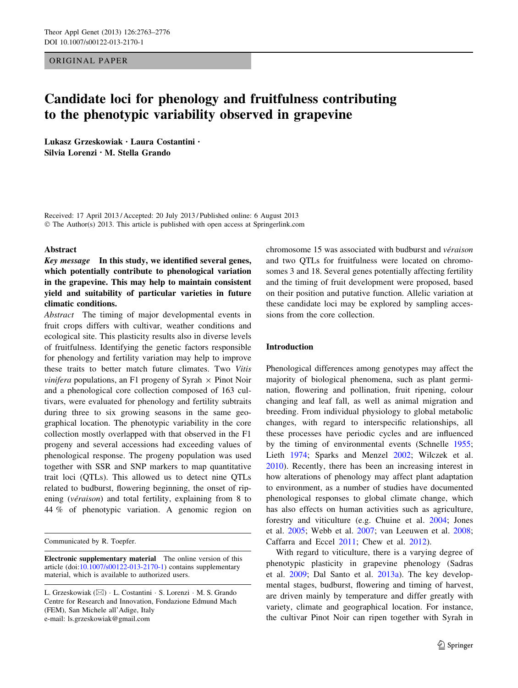# ORIGINAL PAPER

# Candidate loci for phenology and fruitfulness contributing to the phenotypic variability observed in grapevine

Lukasz Grzeskowiak • Laura Costantini • Silvia Lorenzi • M. Stella Grando

Received: 17 April 2013 / Accepted: 20 July 2013 / Published online: 6 August 2013 © The Author(s) 2013. This article is published with open access at Springerlink.com

## Abstract

Key message In this study, we identified several genes, which potentially contribute to phenological variation in the grapevine. This may help to maintain consistent yield and suitability of particular varieties in future climatic conditions.

Abstract The timing of major developmental events in fruit crops differs with cultivar, weather conditions and ecological site. This plasticity results also in diverse levels of fruitfulness. Identifying the genetic factors responsible for phenology and fertility variation may help to improve these traits to better match future climates. Two Vitis *vinifera* populations, an F1 progeny of Syrah  $\times$  Pinot Noir and a phenological core collection composed of 163 cultivars, were evaluated for phenology and fertility subtraits during three to six growing seasons in the same geographical location. The phenotypic variability in the core collection mostly overlapped with that observed in the F1 progeny and several accessions had exceeding values of phenological response. The progeny population was used together with SSR and SNP markers to map quantitative trait loci (QTLs). This allowed us to detect nine QTLs related to budburst, flowering beginning, the onset of ripening (véraison) and total fertility, explaining from  $8$  to 44 % of phenotypic variation. A genomic region on

chromosome 15 was associated with budburst and *véraison* and two QTLs for fruitfulness were located on chromosomes 3 and 18. Several genes potentially affecting fertility and the timing of fruit development were proposed, based on their position and putative function. Allelic variation at these candidate loci may be explored by sampling accessions from the core collection.

# Introduction

Phenological differences among genotypes may affect the majority of biological phenomena, such as plant germination, flowering and pollination, fruit ripening, colour changing and leaf fall, as well as animal migration and breeding. From individual physiology to global metabolic changes, with regard to interspecific relationships, all these processes have periodic cycles and are influenced by the timing of environmental events (Schnelle [1955](#page-13-0); Lieth [1974](#page-13-0); Sparks and Menzel [2002](#page-13-0); Wilczek et al. [2010](#page-13-0)). Recently, there has been an increasing interest in how alterations of phenology may affect plant adaptation to environment, as a number of studies have documented phenological responses to global climate change, which has also effects on human activities such as agriculture, forestry and viticulture (e.g. Chuine et al. [2004;](#page-12-0) Jones et al. [2005](#page-12-0); Webb et al. [2007;](#page-13-0) van Leeuwen et al. [2008](#page-13-0); Caffarra and Eccel [2011;](#page-11-0) Chew et al. [2012\)](#page-12-0).

With regard to viticulture, there is a varying degree of phenotypic plasticity in grapevine phenology (Sadras et al. [2009;](#page-13-0) Dal Santo et al. [2013a\)](#page-12-0). The key developmental stages, budburst, flowering and timing of harvest, are driven mainly by temperature and differ greatly with variety, climate and geographical location. For instance, the cultivar Pinot Noir can ripen together with Syrah in

Communicated by R. Toepfer.

Electronic supplementary material The online version of this article (doi:[10.1007/s00122-013-2170-1\)](http://dx.doi.org/10.1007/s00122-013-2170-1) contains supplementary material, which is available to authorized users.

L. Grzeskowiak (⊠) · L. Costantini · S. Lorenzi · M. S. Grando Centre for Research and Innovation, Fondazione Edmund Mach (FEM), San Michele all'Adige, Italy e-mail: ls.grzeskowiak@gmail.com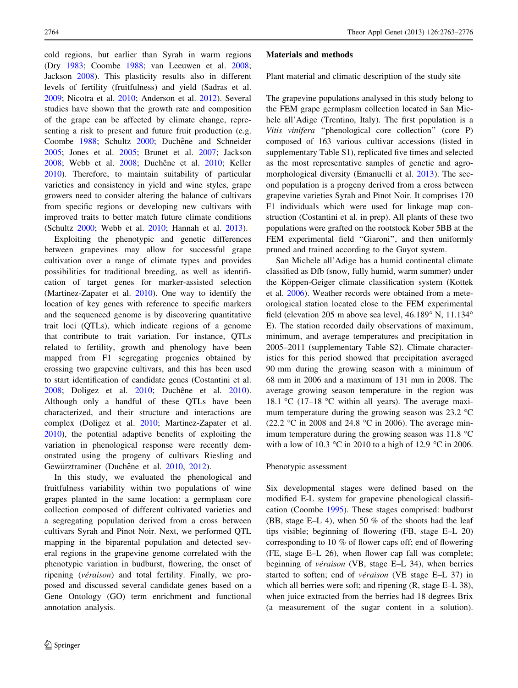cold regions, but earlier than Syrah in warm regions (Dry [1983;](#page-12-0) Coombe [1988;](#page-12-0) van Leeuwen et al. [2008](#page-13-0); Jackson [2008\)](#page-12-0). This plasticity results also in different levels of fertility (fruitfulness) and yield (Sadras et al. [2009;](#page-13-0) Nicotra et al. [2010;](#page-13-0) Anderson et al. [2012\)](#page-11-0). Several studies have shown that the growth rate and composition of the grape can be affected by climate change, representing a risk to present and future fruit production (e.g. Coombe [1988](#page-12-0); Schultz [2000;](#page-13-0) Duchêne and Schneider [2005;](#page-12-0) Jones et al. [2005](#page-12-0); Brunet et al. [2007;](#page-11-0) Jackson [2008;](#page-12-0) Webb et al. [2008](#page-13-0); Duchêne et al. [2010;](#page-12-0) Keller [2010\)](#page-12-0). Therefore, to maintain suitability of particular varieties and consistency in yield and wine styles, grape growers need to consider altering the balance of cultivars from specific regions or developing new cultivars with improved traits to better match future climate conditions (Schultz [2000;](#page-13-0) Webb et al. [2010;](#page-13-0) Hannah et al. [2013](#page-12-0)).

Exploiting the phenotypic and genetic differences between grapevines may allow for successful grape cultivation over a range of climate types and provides possibilities for traditional breeding, as well as identification of target genes for marker-assisted selection (Martinez-Zapater et al. [2010\)](#page-13-0). One way to identify the location of key genes with reference to specific markers and the sequenced genome is by discovering quantitative trait loci (QTLs), which indicate regions of a genome that contribute to trait variation. For instance, QTLs related to fertility, growth and phenology have been mapped from F1 segregating progenies obtained by crossing two grapevine cultivars, and this has been used to start identification of candidate genes (Costantini et al. [2008;](#page-12-0) Doligez et al. [2010](#page-12-0); Duchêne et al. 2010). Although only a handful of these QTLs have been characterized, and their structure and interactions are complex (Doligez et al. [2010](#page-12-0); Martinez-Zapater et al. [2010\)](#page-13-0), the potential adaptive benefits of exploiting the variation in phenological response were recently demonstrated using the progeny of cultivars Riesling and Gewürztraminer (Duchêne et al. [2010](#page-12-0), [2012](#page-12-0)).

In this study, we evaluated the phenological and fruitfulness variability within two populations of wine grapes planted in the same location: a germplasm core collection composed of different cultivated varieties and a segregating population derived from a cross between cultivars Syrah and Pinot Noir. Next, we performed QTL mapping in the biparental population and detected several regions in the grapevine genome correlated with the phenotypic variation in budburst, flowering, the onset of ripening (*véraison*) and total fertility. Finally, we proposed and discussed several candidate genes based on a Gene Ontology (GO) term enrichment and functional annotation analysis.

## Materials and methods

Plant material and climatic description of the study site

The grapevine populations analysed in this study belong to the FEM grape germplasm collection located in San Michele all'Adige (Trentino, Italy). The first population is a Vitis vinifera ''phenological core collection'' (core P) composed of 163 various cultivar accessions (listed in supplementary Table S1), replicated five times and selected as the most representative samples of genetic and agromorphological diversity (Emanuelli et al. [2013](#page-12-0)). The second population is a progeny derived from a cross between grapevine varieties Syrah and Pinot Noir. It comprises 170 F1 individuals which were used for linkage map construction (Costantini et al. in prep). All plants of these two populations were grafted on the rootstock Kober 5BB at the FEM experimental field "Giaroni", and then uniformly pruned and trained according to the Guyot system.

San Michele all'Adige has a humid continental climate classified as Dfb (snow, fully humid, warm summer) under the Köppen-Geiger climate classification system (Kottek et al. [2006](#page-12-0)). Weather records were obtained from a meteorological station located close to the FEM experimental field (elevation 205 m above sea level,  $46.189^\circ$  N,  $11.134^\circ$ E). The station recorded daily observations of maximum, minimum, and average temperatures and precipitation in 2005–2011 (supplementary Table S2). Climate characteristics for this period showed that precipitation averaged 90 mm during the growing season with a minimum of 68 mm in 2006 and a maximum of 131 mm in 2008. The average growing season temperature in the region was 18.1 °C (17-18 °C within all years). The average maximum temperature during the growing season was  $23.2 \text{ °C}$ (22.2 °C in 2008 and 24.8 °C in 2006). The average minimum temperature during the growing season was  $11.8 \text{ °C}$ with a low of 10.3 °C in 2010 to a high of 12.9 °C in 2006.

#### Phenotypic assessment

Six developmental stages were defined based on the modified E-L system for grapevine phenological classification (Coombe [1995](#page-12-0)). These stages comprised: budburst (BB, stage E–L 4), when 50 % of the shoots had the leaf tips visible; beginning of flowering (FB, stage E–L 20) corresponding to 10 % of flower caps off; end of flowering (FE, stage E–L 26), when flower cap fall was complete; beginning of *véraison* (VB, stage E–L 34), when berries started to soften; end of *véraison* (VE stage E–L 37) in which all berries were soft; and ripening (R, stage E–L 38), when juice extracted from the berries had 18 degrees Brix (a measurement of the sugar content in a solution).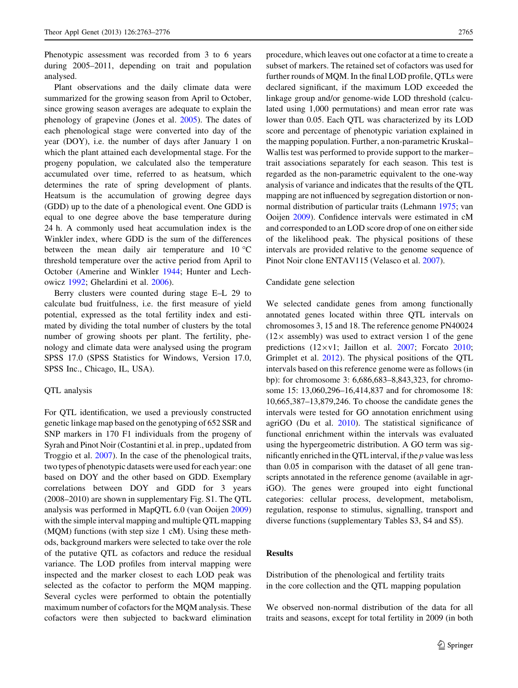Phenotypic assessment was recorded from 3 to 6 years during 2005–2011, depending on trait and population analysed.

Plant observations and the daily climate data were summarized for the growing season from April to October, since growing season averages are adequate to explain the phenology of grapevine (Jones et al. [2005](#page-12-0)). The dates of each phenological stage were converted into day of the year (DOY), i.e. the number of days after January 1 on which the plant attained each developmental stage. For the progeny population, we calculated also the temperature accumulated over time, referred to as heatsum, which determines the rate of spring development of plants. Heatsum is the accumulation of growing degree days (GDD) up to the date of a phenological event. One GDD is equal to one degree above the base temperature during 24 h. A commonly used heat accumulation index is the Winkler index, where GDD is the sum of the differences between the mean daily air temperature and  $10^{\circ}$ C threshold temperature over the active period from April to October (Amerine and Winkler [1944](#page-11-0); Hunter and Lechowicz [1992](#page-12-0); Ghelardini et al. [2006](#page-12-0)).

Berry clusters were counted during stage E–L 29 to calculate bud fruitfulness, i.e. the first measure of yield potential, expressed as the total fertility index and estimated by dividing the total number of clusters by the total number of growing shoots per plant. The fertility, phenology and climate data were analysed using the program SPSS 17.0 (SPSS Statistics for Windows, Version 17.0, SPSS Inc., Chicago, IL, USA).

## QTL analysis

For QTL identification, we used a previously constructed genetic linkage map based on the genotyping of 652 SSR and SNP markers in 170 F1 individuals from the progeny of Syrah and Pinot Noir (Costantini et al. in prep., updated from Troggio et al. [2007](#page-13-0)). In the case of the phenological traits, two types of phenotypic datasets were used for each year: one based on DOY and the other based on GDD. Exemplary correlations between DOY and GDD for 3 years (2008–2010) are shown in supplementary Fig. S1. The QTL analysis was performed in MapQTL 6.0 (van Ooijen [2009\)](#page-13-0) with the simple interval mapping and multiple QTL mapping (MQM) functions (with step size 1 cM). Using these methods, background markers were selected to take over the role of the putative QTL as cofactors and reduce the residual variance. The LOD profiles from interval mapping were inspected and the marker closest to each LOD peak was selected as the cofactor to perform the MQM mapping. Several cycles were performed to obtain the potentially maximum number of cofactors for the MQM analysis. These cofactors were then subjected to backward elimination procedure, which leaves out one cofactor at a time to create a subset of markers. The retained set of cofactors was used for further rounds of MQM. In the final LOD profile, QTLs were declared significant, if the maximum LOD exceeded the linkage group and/or genome-wide LOD threshold (calculated using 1,000 permutations) and mean error rate was lower than 0.05. Each QTL was characterized by its LOD score and percentage of phenotypic variation explained in the mapping population. Further, a non-parametric Kruskal– Wallis test was performed to provide support to the marker– trait associations separately for each season. This test is regarded as the non-parametric equivalent to the one-way analysis of variance and indicates that the results of the QTL mapping are not influenced by segregation distortion or nonnormal distribution of particular traits (Lehmann [1975](#page-13-0); van Ooijen [2009](#page-13-0)). Confidence intervals were estimated in cM and corresponded to an LOD score drop of one on either side of the likelihood peak. The physical positions of these intervals are provided relative to the genome sequence of Pinot Noir clone ENTAV115 (Velasco et al. [2007](#page-13-0)).

## Candidate gene selection

We selected candidate genes from among functionally annotated genes located within three QTL intervals on chromosomes 3, 15 and 18. The reference genome PN40024  $(12 \times$  assembly) was used to extract version 1 of the gene predictions  $(12 \times v1)$ ; Jaillon et al. [2007;](#page-12-0) Forcato [2010](#page-12-0); Grimplet et al. [2012\)](#page-12-0). The physical positions of the QTL intervals based on this reference genome were as follows (in bp): for chromosome 3: 6,686,683–8,843,323, for chromosome 15: 13,060,296–16,414,837 and for chromosome 18: 10,665,387–13,879,246. To choose the candidate genes the intervals were tested for GO annotation enrichment using agriGO (Du et al. [2010\)](#page-12-0). The statistical significance of functional enrichment within the intervals was evaluated using the hypergeometric distribution. A GO term was significantly enriched in the QTL interval, if the  $p$  value was less than 0.05 in comparison with the dataset of all gene transcripts annotated in the reference genome (available in agriGO). The genes were grouped into eight functional categories: cellular process, development, metabolism, regulation, response to stimulus, signalling, transport and diverse functions (supplementary Tables S3, S4 and S5).

# Results

Distribution of the phenological and fertility traits in the core collection and the QTL mapping population

We observed non-normal distribution of the data for all traits and seasons, except for total fertility in 2009 (in both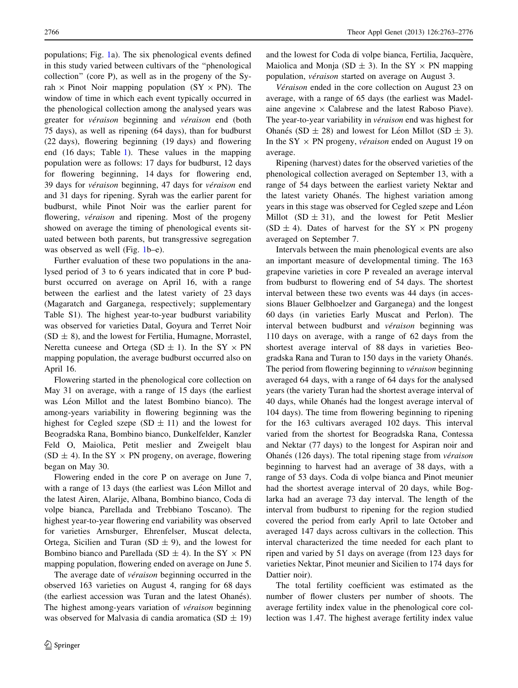populations; Fig. [1a](#page-4-0)). The six phenological events defined in this study varied between cultivars of the ''phenological collection'' (core P), as well as in the progeny of the Syrah  $\times$  Pinot Noir mapping population (SY  $\times$  PN). The window of time in which each event typically occurred in the phenological collection among the analysed years was greater for *véraison* beginning and *véraison* end (both 75 days), as well as ripening (64 days), than for budburst (22 days), flowering beginning (19 days) and flowering end (16 days; Table [1](#page-5-0)). These values in the mapping population were as follows: 17 days for budburst, 12 days for flowering beginning, 14 days for flowering end, 39 days for véraison beginning, 47 days for véraison end and 31 days for ripening. Syrah was the earlier parent for budburst, while Pinot Noir was the earlier parent for flowering, *véraison* and ripening. Most of the progeny showed on average the timing of phenological events situated between both parents, but transgressive segregation was observed as well (Fig. [1b](#page-4-0)–e).

Further evaluation of these two populations in the analysed period of 3 to 6 years indicated that in core P budburst occurred on average on April 16, with a range between the earliest and the latest variety of 23 days (Magaratch and Garganega, respectively; supplementary Table S1). The highest year-to-year budburst variability was observed for varieties Datal, Goyura and Terret Noir  $(SD \pm 8)$ , and the lowest for Fertilia, Humagne, Morrastel, Neretta cuneese and Ortega (SD  $\pm$  1). In the SY  $\times$  PN mapping population, the average budburst occurred also on April 16.

Flowering started in the phenological core collection on May 31 on average, with a range of 15 days (the earliest was Léon Millot and the latest Bombino bianco). The among-years variability in flowering beginning was the highest for Cegled szepe  $(SD \pm 11)$  and the lowest for Beogradska Rana, Bombino bianco, Dunkelfelder, Kanzler Feld O, Maiolica, Petit meslier and Zweigelt blau (SD  $\pm$  4). In the SY  $\times$  PN progeny, on average, flowering began on May 30.

Flowering ended in the core P on average on June 7, with a range of 13 days (the earliest was Léon Millot and the latest Airen, Alarije, Albana, Bombino bianco, Coda di volpe bianca, Parellada and Trebbiano Toscano). The highest year-to-year flowering end variability was observed for varieties Arnsburger, Ehrenfelser, Muscat delecta, Ortega, Sicilien and Turan (SD  $\pm$  9), and the lowest for Bombino bianco and Parellada (SD  $\pm$  4). In the SY  $\times$  PN mapping population, flowering ended on average on June 5.

The average date of *véraison* beginning occurred in the observed 163 varieties on August 4, ranging for 68 days (the earliest accession was Turan and the latest Ohanés). The highest among-years variation of *véraison* beginning was observed for Malvasia di candia aromatica (SD  $\pm$  19)

and the lowest for Coda di volpe bianca, Fertilia, Jacquère, Maiolica and Monja (SD  $\pm$  3). In the SY  $\times$  PN mapping population, *véraison* started on average on August 3.

Véraison ended in the core collection on August 23 on average, with a range of 65 days (the earliest was Madelaine angevine  $\times$  Calabrese and the latest Raboso Piave). The year-to-year variability in véraison end was highest for Ohanés (SD  $\pm$  28) and lowest for Léon Millot (SD  $\pm$  3). In the SY  $\times$  PN progeny, *véraison* ended on August 19 on average.

Ripening (harvest) dates for the observed varieties of the phenological collection averaged on September 13, with a range of 54 days between the earliest variety Nektar and the latest variety Ohanés. The highest variation among years in this stage was observed for Cegled szepe and Léon Millot  $(SD \pm 31)$ , and the lowest for Petit Meslier (SD  $\pm$  4). Dates of harvest for the SY  $\times$  PN progeny averaged on September 7.

Intervals between the main phenological events are also an important measure of developmental timing. The 163 grapevine varieties in core P revealed an average interval from budburst to flowering end of 54 days. The shortest interval between these two events was 44 days (in accessions Blauer Gelbhoelzer and Garganega) and the longest 60 days (in varieties Early Muscat and Perlon). The interval between budburst and *véraison* beginning was 110 days on average, with a range of 62 days from the shortest average interval of 88 days in varieties Beogradska Rana and Turan to 150 days in the variety Ohanés. The period from flowering beginning to *véraison* beginning averaged 64 days, with a range of 64 days for the analysed years (the variety Turan had the shortest average interval of 40 days, while Ohanés had the longest average interval of 104 days). The time from flowering beginning to ripening for the 163 cultivars averaged 102 days. This interval varied from the shortest for Beogradska Rana, Contessa and Nektar (77 days) to the longest for Aspiran noir and Ohanés (126 days). The total ripening stage from *véraison* beginning to harvest had an average of 38 days, with a range of 53 days. Coda di volpe bianca and Pinot meunier had the shortest average interval of 20 days, while Boglarka had an average 73 day interval. The length of the interval from budburst to ripening for the region studied covered the period from early April to late October and averaged 147 days across cultivars in the collection. This interval characterized the time needed for each plant to ripen and varied by 51 days on average (from 123 days for varieties Nektar, Pinot meunier and Sicilien to 174 days for Dattier noir).

The total fertility coefficient was estimated as the number of flower clusters per number of shoots. The average fertility index value in the phenological core collection was 1.47. The highest average fertility index value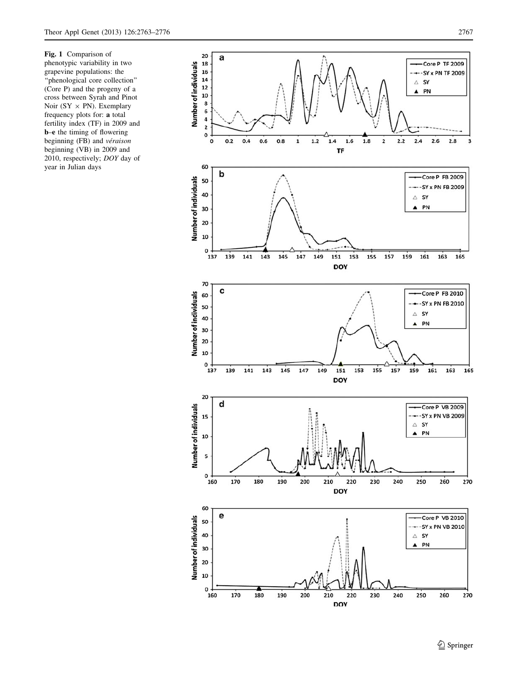<span id="page-4-0"></span>Fig. 1 Comparison of phenotypic variability in two grapevine populations: the ''phenological core collection'' (Core P) and the progeny of a cross between Syrah and Pinot Noir (SY  $\times$  PN). Exemplary frequency plots for: a total fertility index (TF) in 2009 and b–e the timing of flowering beginning (FB) and véraison beginning (VB) in 2009 and 2010, respectively; DOY day of year in Julian days



<sup>2</sup> Springer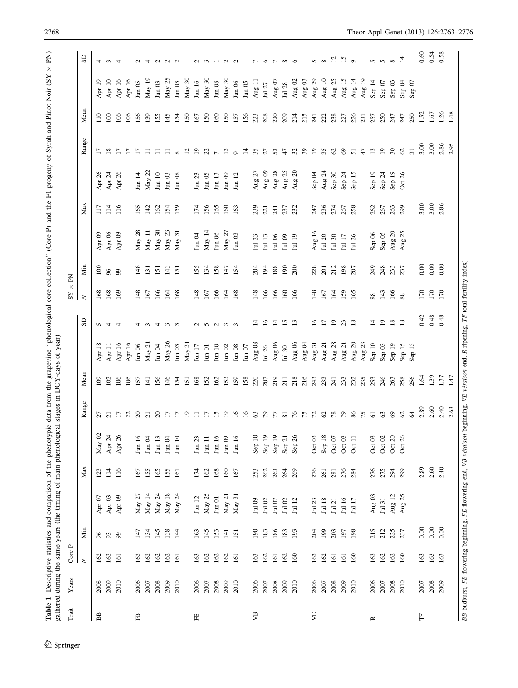<span id="page-5-0"></span>

| $\rm{Train}$               | Years | ρ,<br>Core       |                  |                   |                  |                       |                                               |                 |                       |                 | $\times$<br>$\mathbf{S}\mathbf{Y}$ | $\mathbf{\underline{K}}$ |               |                            |                       |                 |                  |                       |                           |
|----------------------------|-------|------------------|------------------|-------------------|------------------|-----------------------|-----------------------------------------------|-----------------|-----------------------|-----------------|------------------------------------|--------------------------|---------------|----------------------------|-----------------------|-----------------|------------------|-----------------------|---------------------------|
|                            |       | $\geq$           | Ńщ               |                   | Max              |                       | Range                                         | Mean            |                       | S <sub>D</sub>  | $\geq$                             | Nin                      |               | Max                        |                       | Range           | Mean             |                       | $\mathbb{S}$              |
| $_{\rm BB}$                | 2008  | 162              | 96               | Apr $07$          | 123              | May $02$              |                                               | $\approx$       | $\frac{8}{18}$<br>Apr | $\sigma$        | 168                                | $\geq$                   | Apr $09$      | 117                        | Apr 26                | $\overline{1}$  | $\overline{110}$ | Apr 19                |                           |
|                            | 2009  | 162              | 93               | Apr <sub>03</sub> | $\overline{11}$  | Apr 24                | $\overline{27}$                               | 102             | Apr 11                | $\overline{4}$  | 168                                | 66                       | Apr $06$      | 114                        | Apr 24                | $\frac{8}{18}$  | 100              | Apr $10$              | 4 w 4                     |
|                            | 2010  | 161              | 99               | Apr 09            | 116              | Apr 26                | $\overline{L}$                                | 106             | Apr 16                | $\overline{4}$  | 169                                | 99                       | Apr 09        | 116                        | Apr 26                | $\overline{1}$  | 106              | Apr $16$              |                           |
|                            |       |                  |                  |                   |                  |                       | $\begin{array}{c} 23 \\ 20 \\ 21 \end{array}$ | 106             | Apr 16                |                 |                                    |                          |               |                            |                       | $\overline{1}$  | 106              | Apr 16                |                           |
| 岊                          | 2006  | 163              | 147              | May $27$          | 167              | $\rm{Jun}$ $\rm{16}$  |                                               | 157             | $\rm{Jun}$ 06         | 4               | 148                                | 148                      | May 28        | 165                        | Jun $14$              | $\overline{1}$  | 156              | $\rm{Jun}$ 05         |                           |
|                            | 2007  | 162              | 134              | May 14            | 155              | $\,$ Jun $\,$ 04 $\,$ |                                               | $\overline{4}$  | May 21                | $\sim$          | 167                                | 131                      | May 11        | 142                        | May 22                | $\equiv$        | 139              | May 19                | $U4$ $U$                  |
|                            | 2008  | 162              | 145              | May $24$          | 165              | Jun 13                | $\Omega$                                      | 156             | $\,\rm{Jun}$ 04       | $\overline{4}$  | 166                                | 151                      | May 30        | 162                        | $\rm{J}un$ $10$       | $\equiv$        | 155              | $\rm{Jun}$ 03         |                           |
|                            | 2009  | 162              | 138              | May 18            | 155              | Jun $04$              | $\overline{17}$                               | 146             | May 26                | $\mathfrak{g}$  | 164                                | 143                      | May 23        | 154                        | $\,\rm{Jun}$ 03       | $\equiv$        | 145              | May 25                | $\sim$ $\sim$             |
|                            | 2010  | $\overline{161}$ | $\overline{14}$  | May 24            | $\overline{161}$ | $\rm{Jun}$ $10$       | $\overline{17}$                               | 154             | $\rm{Jun}$ 03         | ന               | 168                                | 151                      | May 31        | 159                        | $\rm{Jun}$ 08         | $\infty$        | 154              | Jun $03$              |                           |
|                            |       |                  |                  |                   |                  |                       | $\overline{5}$                                | 151             | May 31                |                 |                                    |                          |               |                            |                       | $\overline{c}$  | <b>150</b>       | May 30                |                           |
| $\left[\frac{1}{L}\right]$ | 2006  | 163              | 163              | Jun $12\,$        | 174              | $\rm{Jun}$ $\rm{23}$  | $\equiv$                                      | 168             | Jun $17\,$            | $\sim$          | 148                                | 155                      | $\rm{Jun}$ 04 | 174                        | Jun $23\,$            | $\overline{0}$  | 167              | Jun 16                |                           |
|                            | 2007  | 162              | 145              | May 25            | 162              | $\rm{Jun}$ $11$       | $\Box$                                        | 152             | $\rm{Jun}$ 01         |                 | 167                                | 134                      | May 14        | 156                        | $\rm{Jun}$ 05         | $\frac{2}{7}$   | 150              | May 30                | $\sim$ $\sim$             |
|                            | 2008  | 162              | 153              | $\rm{Jun}$ 01     | 168              | Jun 16                | $\overline{15}$                               | 162             | $_{\text{Jun 10}}$    | n n m           | 166                                | 158                      | Jun 06        | 165                        | Jun 13                |                 | 160              | $\rm{J}$ un $\rm{0}8$ |                           |
|                            | 2009  | 162              | $\overline{141}$ | May 21            | 160              | $\,\rm{Jun}$ 09       | $\overline{5}$                                | 153             | $\rm{Jun}$ 02         |                 | 164                                | 147                      | May 27        | 160                        | $\rm{Jun}$ 09         | $\mathbf{r}$    | 150              | May 30                | $\sim$                    |
|                            | 2010  | 161              | 151              | May 31            | 167              | Jun 16                | $\overline{5}$                                | 159             | $\rm{Jun}$ 08         | ന               | 168                                | 154                      | $\rm{Jun}$ 03 | 163                        | Jun $12$              | $\sigma$        | 157              | Jun 06                | $\sim$                    |
|                            |       |                  |                  |                   |                  |                       | $\overline{16}$                               | 158             | $\rm{Jun}$ 07         |                 |                                    |                          |               |                            |                       | 4               | 156              | $\,$ Jun $05$         |                           |
| УВ                         | 2006  | 163              | $\overline{90}$  | Jul 09            | 253              | Sep 10                | 63                                            | 220             | Aug 08                | 4               | 148                                | 204                      | Jul 23        | 239                        | 27<br>Aug             | 35              | 223              | Aug 11                | $\overline{ }$            |
|                            | 2007  | 162              | 183              | Jul 02            | 262              | Sep 19                | $\mathcal{L}$                                 | 207             | Jul 26                | $\overline{16}$ | 166                                | 194                      | Jul 13        | 221                        | Aug $09$              | 27              | 208              | Jul 27                | $\circ$                   |
|                            | 2008  | 161              | 186              | Jul $07$          | 263              | Sep 19                |                                               | 219             | Aug 06                | $\vec{a}$       | 166                                | 188                      | Jul 06        | 241                        | Aug 28                | 53              | 220              | Aug $07\,$            | $\Gamma \propto \sigma$   |
|                            | 2009  | 162              | 183              | Jul 02            | 264              | Sep21                 |                                               | $\overline{21}$ | Jul 30                | <b>15 m</b>     | 160                                | $\overline{190}$         | Jul 09        | 237                        | Aug $25\,$            | $\ddot{t}$      | 209              | Jul 28                |                           |
|                            | 2010  | 160              | 193              | Jul $12$          | 269              | 26<br>Sep             | 728888                                        | 218             | Aug 06                |                 | 166                                | 200                      | Jul 19        | 232                        | $\overline{c}$<br>Aug | $\mathfrak{L}$  | 214              | Aug $02$              |                           |
|                            |       |                  |                  |                   |                  |                       |                                               | 216             | Aug 04                |                 |                                    |                          |               |                            |                       | 39              | 215              | Aug $03$              |                           |
| УE                         | 2006  | 163              | 204              | 23<br>$\Xi$       | 276              | Oct 03                |                                               | 243             | Aug 31                | $\tilde{=}$     | 148                                | 228                      | Aug 16        | 247                        | Sep 04                | $\overline{9}$  | 241              | Aug $29$              | $\infty$                  |
|                            | 2007  | 162              | 199              | Jul 18            | 261              | Sep 18                |                                               | 233             | Aug 21                | $\overline{L}$  | 167                                | 201                      | Jul 20        | 236                        | Aug 24                | 35              | 22               | Aug 10                |                           |
|                            | 2008  | 161              | 203              | Jul 21            | 281              | Oct $07$              | $\frac{8}{2}$                                 | 241             | Aug 28                | $\overline{5}$  | 164                                | 212                      | Jul 30        | 274                        | Sep 30                | 62              | 238              | Aug 25                | $\overline{c}$            |
|                            | 2009  | 161              | 197              | Jul 16            | 276              | Oct $03$              | $\mathcal{L}$                                 | 233             | Aug 21                | 23              | 159                                | 198                      | Jul $17$      | 267                        | Sep 24                | 69              | 27               | Aug 15                | $\frac{15}{9}$            |
|                            | 2010  | 160              | 198              | Jul $17\,$        | 284              | Oct 11                | 86                                            | 232             | Aug 20                | $\frac{8}{18}$  | 165                                | 207                      | Jul 26        | 258                        | Sep 15                | $\overline{5}$  | 226              | Aug 14                |                           |
|                            |       |                  |                  |                   |                  |                       | 75                                            | 235             | Aug 23                |                 |                                    |                          |               |                            |                       | $\overline{4}$  | 231              | Aug 19                |                           |
| $\mathbb{\alpha}$          | 2006  | 163              | 215              | Aug 03            | 276              | Oct $03$              | $\overline{6}$                                | 253             | Sep 10                | ᅼ               | $88\,$                             | 249                      | Sep $06$      | 262                        | Sep 19                | $\overline{13}$ | 257              | Sep 14                |                           |
|                            | 2007  | 162              | 212              | Jul 31            | 275              | Oct $02\,$            | 63                                            | 246             | Sep 03                | $\overline{19}$ | 143                                | 248                      | Sep 05        | 267                        | Sep 24                | $\overline{19}$ | 250              | Sep 07                | $n n \propto \frac{1}{4}$ |
|                            | 2008  | 162              | 225              | Aug 12            | 294              | Oct $20$              | $\mathcal{S}$                                 | 263             | Sep 19                | $\frac{8}{18}$  | 166                                | 23                       | Aug $20\,$    | 263                        | Sep 19                | $30\,$          | 247              | Sep 03                |                           |
|                            | 2010  | 160              | 237              | Aug 25            | 299              | Oct 26                | $\mathcal{C}$                                 | 258             | Sep 15                |                 | 88                                 | 237                      | Aug 25        | 299                        | Oct 26                | $\mathcal{O}$   | 247              | Sep 04                |                           |
|                            |       |                  |                  |                   |                  |                       | $\mathcal{L}$                                 | 256             | $\Xi$<br>Sep          |                 |                                    |                          |               |                            |                       | $\overline{31}$ | 250              | Sep 07                |                           |
| Ë                          | 2007  | 163              | 0.00             |                   | 2.89             |                       | 2.89                                          | 1.64            |                       | 0.42            | 170                                | 0.00                     |               | $3.00$<br>$3.00$<br>$2.86$ |                       | 3.00            | 1.52             |                       | 0.60                      |
|                            | 2008  | 163              | 0.00             |                   | 2.60             |                       | 2.60                                          | 1.39            |                       | 0.48            | 170                                | 0.00                     |               |                            |                       | 3.00            | 1.67             |                       | 0.54                      |
|                            | 2009  | 163              | 0.00             |                   | 2.40             |                       | 2.40                                          | 1.37            |                       | 0.48            | 170                                | 0.00                     |               |                            |                       | 2.86            | 1.26             |                       | 0.58                      |
|                            |       |                  |                  |                   |                  |                       | 2.63                                          | 1.47            |                       |                 |                                    |                          |               |                            |                       | 2.95            | 1.48             |                       |                           |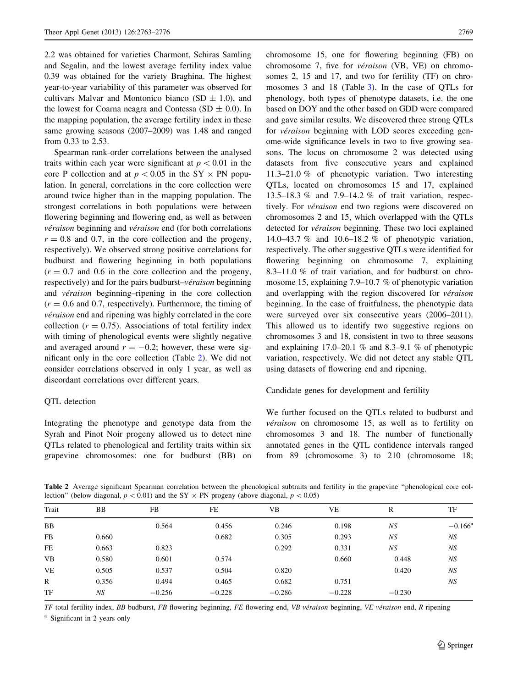<span id="page-6-0"></span>2.2 was obtained for varieties Charmont, Schiras Samling and Segalin, and the lowest average fertility index value 0.39 was obtained for the variety Braghina. The highest year-to-year variability of this parameter was observed for cultivars Malvar and Montonico bianco (SD  $\pm$  1.0), and the lowest for Coarna neagra and Contessa (SD  $\pm$  0.0). In the mapping population, the average fertility index in these same growing seasons (2007–2009) was 1.48 and ranged from 0.33 to 2.53.

Spearman rank-order correlations between the analysed traits within each year were significant at  $p < 0.01$  in the core P collection and at  $p < 0.05$  in the SY  $\times$  PN population. In general, correlations in the core collection were around twice higher than in the mapping population. The strongest correlations in both populations were between flowering beginning and flowering end, as well as between véraison beginning and véraison end (for both correlations  $r = 0.8$  and 0.7, in the core collection and the progeny, respectively). We observed strong positive correlations for budburst and flowering beginning in both populations  $(r = 0.7)$  and 0.6 in the core collection and the progeny, respectively) and for the pairs budburst– $v$ éraison beginning and *véraison* beginning–ripening in the core collection  $(r = 0.6$  and 0.7, respectively). Furthermore, the timing of véraison end and ripening was highly correlated in the core collection ( $r = 0.75$ ). Associations of total fertility index with timing of phenological events were slightly negative and averaged around  $r = -0.2$ ; however, these were significant only in the core collection (Table 2). We did not consider correlations observed in only 1 year, as well as discordant correlations over different years.

## QTL detection

Integrating the phenotype and genotype data from the Syrah and Pinot Noir progeny allowed us to detect nine QTLs related to phenological and fertility traits within six grapevine chromosomes: one for budburst (BB) on

chromosome 15, one for flowering beginning (FB) on chromosome 7, five for véraison (VB, VE) on chromosomes 2, 15 and 17, and two for fertility (TF) on chromosomes 3 and 18 (Table [3\)](#page-7-0). In the case of QTLs for phenology, both types of phenotype datasets, i.e. the one based on DOY and the other based on GDD were compared and gave similar results. We discovered three strong QTLs for *véraison* beginning with LOD scores exceeding genome-wide significance levels in two to five growing seasons. The locus on chromosome 2 was detected using datasets from five consecutive years and explained 11.3–21.0 % of phenotypic variation. Two interesting QTLs, located on chromosomes 15 and 17, explained 13.5–18.3 % and 7.9–14.2 % of trait variation, respectively. For *véraison* end two regions were discovered on chromosomes 2 and 15, which overlapped with the QTLs detected for *véraison* beginning. These two loci explained 14.0–43.7 % and 10.6–18.2 % of phenotypic variation, respectively. The other suggestive QTLs were identified for flowering beginning on chromosome 7, explaining 8.3–11.0 % of trait variation, and for budburst on chromosome 15, explaining 7.9–10.7 % of phenotypic variation and overlapping with the region discovered for  $v$ *éraison* beginning. In the case of fruitfulness, the phenotypic data were surveyed over six consecutive years (2006–2011). This allowed us to identify two suggestive regions on chromosomes 3 and 18, consistent in two to three seasons and explaining 17.0–20.1 % and 8.3–9.1 % of phenotypic variation, respectively. We did not detect any stable QTL using datasets of flowering end and ripening.

## Candidate genes for development and fertility

We further focused on the QTLs related to budburst and véraison on chromosome 15, as well as to fertility on chromosomes 3 and 18. The number of functionally annotated genes in the QTL confidence intervals ranged from 89 (chromosome 3) to 210 (chromosome 18;

Table 2 Average significant Spearman correlation between the phenological subtraits and fertility in the grapevine ''phenological core collection" (below diagonal,  $p < 0.01$ ) and the SY  $\times$  PN progeny (above diagonal,  $p < 0.05$ )

| Trait        | BB    | FB       | FE       | VВ       | VE       | R        | TF               |
|--------------|-------|----------|----------|----------|----------|----------|------------------|
| <b>BB</b>    |       | 0.564    | 0.456    | 0.246    | 0.198    | NS       | $-0.166^{\rm a}$ |
| <b>FB</b>    | 0.660 |          | 0.682    | 0.305    | 0.293    | NS       | NS               |
| FE           | 0.663 | 0.823    |          | 0.292    | 0.331    | NS       | NS               |
| <b>VB</b>    | 0.580 | 0.601    | 0.574    |          | 0.660    | 0.448    | NS               |
| <b>VE</b>    | 0.505 | 0.537    | 0.504    | 0.820    |          | 0.420    | NS               |
| $\mathbb{R}$ | 0.356 | 0.494    | 0.465    | 0.682    | 0.751    |          | NS               |
| TF           | NS    | $-0.256$ | $-0.228$ | $-0.286$ | $-0.228$ | $-0.230$ |                  |
|              |       |          |          |          |          |          |                  |

TF total fertility index, BB budburst, FB flowering beginning, FE flowering end, VB véraison beginning, VE véraison end, R ripening

<sup>a</sup> Significant in 2 years only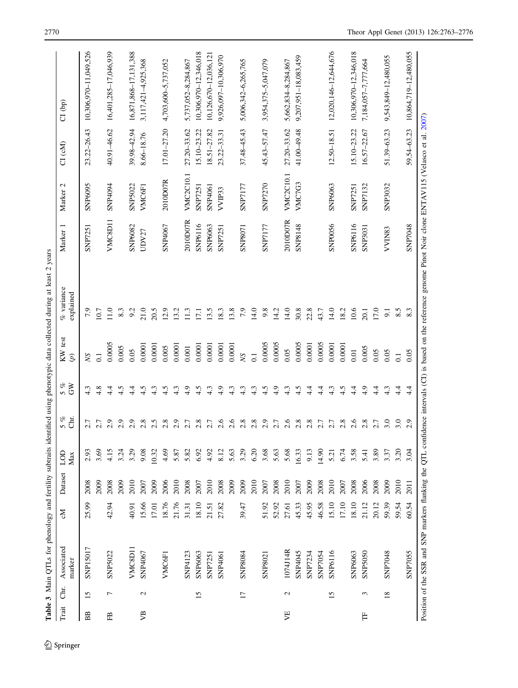<span id="page-7-0"></span>

|       |                 | Table 3 Main QTLs for phenology and fertility subtraits identified using phenotypic data collected during at least 2 years                                      |       |         |            |             |                                    |                          |                           |                |                     |                 |                       |
|-------|-----------------|-----------------------------------------------------------------------------------------------------------------------------------------------------------------|-------|---------|------------|-------------|------------------------------------|--------------------------|---------------------------|----------------|---------------------|-----------------|-----------------------|
| Trait | ਟੀਸ਼<br>ਹ       | Associated<br>marker                                                                                                                                            | Σç    | Dataset | Max<br>COD | chr.<br>5 % | $\mathcal{E}_{\mathcal{O}}$<br>5 % | KW test<br>$\mathcal{L}$ | $%$ variance<br>explained | Marker 1       | Marker <sub>2</sub> | CI (cM)         | $CI$ $(bp)$           |
| BB    | 15              | <b>SNP15017</b>                                                                                                                                                 | 25.99 | 2008    | 2.93       | 2.7         | 4.3                                | <b>SN</b>                | 7.9                       | <b>SNP7251</b> | <b>SNP6095</b>      | 23.22-26.43     | 10,306,970-11,049,526 |
|       |                 |                                                                                                                                                                 |       | 2009    | 3.69       | 2.7         | 4.8                                | $\overline{0}$           | 10.7                      |                |                     |                 |                       |
| 岊     | $\overline{ }$  | <b>SNP5022</b>                                                                                                                                                  | 42.94 | 2008    | 4.15       | 2.9         | 4.4                                | 0.0005                   | 11.0                      | VMC8D11        | SNP4094             | 40.91-46.62     | 16,401,285-17,046,939 |
|       |                 |                                                                                                                                                                 |       | 2009    | 3.24       | 2.9         | 4.5                                | 0.005                    | 8.3                       |                |                     |                 |                       |
|       |                 | VMC8D11                                                                                                                                                         | 40.91 | 2010    | 3.29       | 2.9         | 4.4                                | 0.05                     | 9.2                       | <b>SNP6082</b> | <b>SNP5022</b>      | 39.98-42.94     | 16,871,868-17,131,388 |
| УB    | $\mathbf{c}$    | SNP4067                                                                                                                                                         | 15.66 | 2007    | 9.08       | 2.8         | 4.5                                | 0.0001                   | 21.0                      | UDV27          | VMC6F1              | 8.66-18.76      | 3,117,421-4,925,368   |
|       |                 |                                                                                                                                                                 | 17.01 | 2009    | 10.32      | 2.5         | 4.3                                | 0.0001                   | 20.5                      |                |                     |                 |                       |
|       |                 | VMC6F)                                                                                                                                                          | 18.76 | 2006    | 4.69       | 2.8         | 4.5                                | 0.005                    | 12.9                      | SNP4067        | 2010D07R            | $17.01 - 27.20$ | 4,703,600-5,737,052   |
|       |                 |                                                                                                                                                                 | 21.76 | 2010    | 5.87       | 2.9         | 4.3                                | 0.0001                   | 13.2                      |                |                     |                 |                       |
|       |                 | SNP4123                                                                                                                                                         | 31.31 | 2008    | 5.82       | 2.7         | 4.9                                | $0.001\,$                | 11.3                      | 2010D07R       | <b>VMC2C10.1</b>    | 27.20-33.62     | 5,737,052-8,284,867   |
|       | 15              | <b>SNP6063</b>                                                                                                                                                  | 18.10 | 2007    | 6.92       | 2.8         | 4.5                                | 0.0001                   | 17.1                      | SNP6116        | <b>SNP7251</b>      | $15.10 - 23.22$ | 10,306,970-12,346,018 |
|       |                 | <b>SNP7251</b>                                                                                                                                                  | 21.51 | 2010    | 4.92       | 2.7         | 4.3                                | 0.0001                   | 13.5                      | <b>SNP6063</b> | SNP4061             | $18.51 - 27.82$ | 10,126,670-12,036,12  |
|       |                 | SNP4061                                                                                                                                                         | 27.82 | 2008    | 8.12       | 2.6         | 4.9                                | 0.0001                   | 18.3                      | <b>SNP7251</b> | VVIP33              | 23.22-33.31     | 9,926,097-10,306,970  |
|       |                 |                                                                                                                                                                 |       | 2009    | 5.63       | 2.6         | 4.3                                | 0.0001                   | 13.8                      |                |                     |                 |                       |
|       | $\overline{17}$ | <b>SNP8084</b>                                                                                                                                                  | 39.47 | 2009    | 3.29       | 2.8         | 4.3                                | <b>NS</b>                | 7.9                       | <b>SNP8071</b> | <b>SNP7177</b>      | $37.48 - 45.43$ | 5,006,342-6,265,765   |
|       |                 |                                                                                                                                                                 |       | 2010    | 6.20       | 2.8         | 4.3                                | 0.1                      | 14.0                      |                |                     |                 |                       |
|       |                 | SNP802                                                                                                                                                          | 51.92 | 2007    | 3.68       | 2.9         | 4.5                                | 0.0005                   | 9.8                       | <b>SNP7177</b> | <b>SNP7270</b>      | 45.43-57.47     | 3,954,375-5,047,079   |
|       |                 |                                                                                                                                                                 | 52.92 | 2008    | 5.63       | 2.7         | 4.9                                | 0.0005                   | 14.2                      |                |                     |                 |                       |
| УE    | $\mathcal{L}$   | 1074J14R                                                                                                                                                        | 27.61 | 2010    | 5.68       | 2.6         | 4.3                                | 0.05                     | 14.0                      | 2010D07R       | <b>VMC2C10.1</b>    | 27.20-33.62     | 5,662,834-8,284,867   |
|       |                 | SNP4045                                                                                                                                                         | 45.33 | 2007    | 16.33      | 2.8         | 4.5                                | 0.0005                   | 30.8                      | <b>SNP8148</b> | VMC7G3              | 41.00-49.48     | 9,207,951-18,083,459  |
|       |                 | SNP7234                                                                                                                                                         | 45.95 | 2009    | 9.13       | 2.8         | 4.4                                | 0.0001                   | 22.8                      |                |                     |                 |                       |
|       |                 | SNP7054                                                                                                                                                         | 46.58 | 2008    | 14.90      | 2.7         | 4.4                                | 0.0005                   | 43.7                      |                |                     |                 |                       |
|       | 15              | SNP6116                                                                                                                                                         | 15.10 | 2010    | 5.21       | 2.7         | 4.3                                | 0.0001                   | 14.0                      | <b>SNP0056</b> | <b>SNP6063</b>      | 12.50-18.51     | 12,020,146-12,644,676 |
|       |                 |                                                                                                                                                                 | 17.10 | 2007    | 6.74       | 2.8         | 4.5                                | 0.0001                   | 18.2                      |                |                     |                 |                       |
|       |                 | <b>SNP6063</b>                                                                                                                                                  | 18.10 | 2008    | 3.58       | 2.6         | 4.4                                | 0.01                     | 10.6                      | SNP6116        | <b>SNP7251</b>      | 15.10-23.22     | 10,306,970-12,346,018 |
| Ë     | 3               | <b>SNP5050</b>                                                                                                                                                  | 21.12 | 2006    | 5.41       | 2.8         | 4.9                                | 0.005                    | 20.1                      | <b>SNP3031</b> | <b>SNP7132</b>      | 16.57-22.67     | 7,184,057-7,777,664   |
|       |                 |                                                                                                                                                                 | 20.12 | 2008    | 3.89       | 2.7         | 4.4                                | 0.05                     | 17.0                      |                |                     |                 |                       |
|       | $\overline{18}$ | <b>SNP7048</b>                                                                                                                                                  | 59.39 | 2009    | 3.37       | 3.0         | 4.3                                | 0.05                     | $\overline{5}$            | VVIN83         | <b>SNP3032</b>      | 51.39-63.23     | 9,543,849-12,480,055  |
|       |                 |                                                                                                                                                                 | 59.54 | 2010    | 3.20       | 3.0         | 4.4                                | $\overline{0}$ .         | 8.5                       |                |                     |                 |                       |
|       |                 | <b>SNP7055</b>                                                                                                                                                  | 60.54 | 2011    | 3.04       | 2.9         | $4\cdot$                           | 0.05                     | 8.3                       | <b>SNP7048</b> |                     | 59.54-63.23     | 10,864,719-12,480,055 |
|       |                 | Position of the SSR and SNP markers flanking the QTL confidence intervals (CD) is based on the reference genome Pinot Noir clone ENTAV115 (Velasco et al. 2007) |       |         |            |             |                                    |                          |                           |                |                     |                 |                       |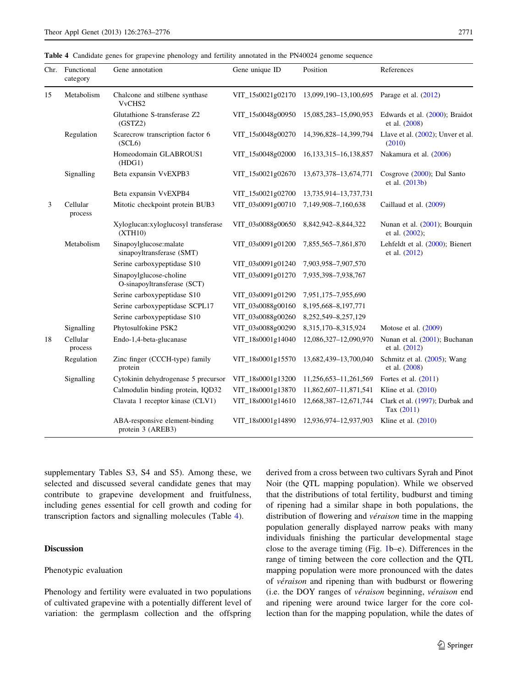<span id="page-8-0"></span>Table 4 Candidate genes for grapevine phenology and fertility annotated in the PN40024 genome sequence

| Chr. | Functional<br>category | Gene annotation                                        | Gene unique ID    | Position                    | References                                       |
|------|------------------------|--------------------------------------------------------|-------------------|-----------------------------|--------------------------------------------------|
| 15   | Metabolism             | Chalcone and stilbene synthase<br>VvCHS2               | VIT_15s0021g02170 | 13,099,190-13,100,695       | Parage et al. (2012)                             |
|      |                        | Glutathione S-transferase Z2<br>(GSTZ2)                | VIT_15s0048g00950 | 15,085,283-15,090,953       | Edwards et al. (2000); Braidot<br>et al. (2008)  |
|      | Regulation             | Scarecrow transcription factor 6<br>(SCL6)             | VIT_15s0048g00270 | 14,396,828-14,399,794       | Llave et al. (2002); Unver et al.<br>(2010)      |
|      |                        | Homeodomain GLABROUS1<br>(HDG1)                        | VIT_15s0048g02000 | 16, 133, 315 - 16, 138, 857 | Nakamura et al. (2006)                           |
|      | Signalling             | Beta expansin VvEXPB3                                  | VIT_15s0021g02670 | 13,673,378-13,674,771       | Cosgrove (2000); Dal Santo<br>et al. (2013b)     |
|      |                        | Beta expansin VvEXPB4                                  | VIT_15s0021g02700 | 13,735,914-13,737,731       |                                                  |
| 3    | Cellular<br>process    | Mitotic checkpoint protein BUB3                        | VIT_03s0091g00710 | 7,149,908-7,160,638         | Caillaud et al. (2009)                           |
|      |                        | Xyloglucan:xyloglucosyl transferase<br>(XTH10)         | VIT_03s0088g00650 | 8,842,942-8,844,322         | Nunan et al. (2001); Bourquin<br>et al. (2002);  |
|      | Metabolism             | Sinapoylglucose:malate<br>sinapoyltransferase (SMT)    | VIT_03s0091g01200 | 7,855,565-7,861,870         | Lehfeldt et al. (2000); Bienert<br>et al. (2012) |
|      |                        | Serine carboxypeptidase S10                            | VIT_03s0091g01240 | 7,903,958-7,907,570         |                                                  |
|      |                        | Sinapoylglucose-choline<br>O-sinapoyltransferase (SCT) | VIT_03s0091g01270 | 7,935,398-7,938,767         |                                                  |
|      |                        | Serine carboxypeptidase S10                            | VIT_03s0091g01290 | 7,951,175-7,955,690         |                                                  |
|      |                        | Serine carboxypeptidase SCPL17                         | VIT_03s0088g00160 | 8,195,668-8,197,771         |                                                  |
|      |                        | Serine carboxypeptidase S10                            | VIT_03s0088g00260 | 8,252,549-8,257,129         |                                                  |
|      | Signalling             | Phytosulfokine PSK2                                    | VIT_03s0088g00290 | 8,315,170-8,315,924         | Motose et al. $(2009)$                           |
| 18   | Cellular<br>process    | Endo-1,4-beta-glucanase                                | VIT_18s0001g14040 | 12,086,327-12,090,970       | Nunan et al. (2001); Buchanan<br>et al. (2012)   |
|      | Regulation             | Zinc finger (CCCH-type) family<br>protein              | VIT_18s0001g15570 | 13,682,439-13,700,040       | Schmitz et al. (2005); Wang<br>et al. (2008)     |
|      | Signalling             | Cytokinin dehydrogenase 5 precursor                    | VIT_18s0001g13200 | 11,256,653-11,261,569       | Fortes et al. $(2011)$                           |
|      |                        | Calmodulin binding protein, IQD32                      | VIT_18s0001g13870 | 11,862,607-11,871,541       | Kline et al. $(2010)$                            |
|      |                        | Clavata 1 receptor kinase (CLV1)                       | VIT_18s0001g14610 | 12,668,387-12,671,744       | Clark et al. (1997); Durbak and<br>Tax (2011)    |
|      |                        | ABA-responsive element-binding<br>protein 3 (AREB3)    | VIT_18s0001g14890 | 12,936,974-12,937,903       | Kline et al. $(2010)$                            |

supplementary Tables S3, S4 and S5). Among these, we selected and discussed several candidate genes that may contribute to grapevine development and fruitfulness, including genes essential for cell growth and coding for transcription factors and signalling molecules (Table 4).

# **Discussion**

## Phenotypic evaluation

Phenology and fertility were evaluated in two populations of cultivated grapevine with a potentially different level of variation: the germplasm collection and the offspring derived from a cross between two cultivars Syrah and Pinot Noir (the QTL mapping population). While we observed that the distributions of total fertility, budburst and timing of ripening had a similar shape in both populations, the distribution of flowering and *véraison* time in the mapping population generally displayed narrow peaks with many individuals finishing the particular developmental stage close to the average timing (Fig. [1b](#page-4-0)–e). Differences in the range of timing between the core collection and the QTL mapping population were more pronounced with the dates of *véraison* and ripening than with budburst or flowering (i.e. the DOY ranges of véraison beginning, véraison end and ripening were around twice larger for the core collection than for the mapping population, while the dates of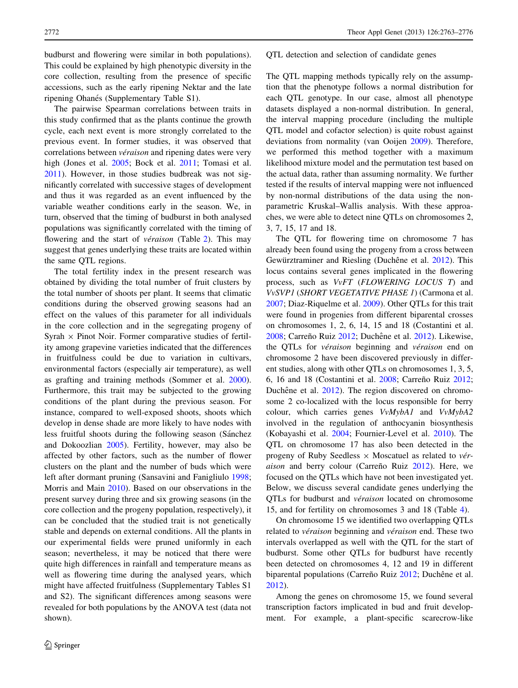budburst and flowering were similar in both populations). This could be explained by high phenotypic diversity in the core collection, resulting from the presence of specific accessions, such as the early ripening Nektar and the late ripening Ohanés (Supplementary Table S1).

The pairwise Spearman correlations between traits in this study confirmed that as the plants continue the growth cycle, each next event is more strongly correlated to the previous event. In former studies, it was observed that correlations between *véraison* and ripening dates were very high (Jones et al. [2005](#page-12-0); Bock et al. [2011](#page-11-0); Tomasi et al. [2011\)](#page-13-0). However, in those studies budbreak was not significantly correlated with successive stages of development and thus it was regarded as an event influenced by the variable weather conditions early in the season. We, in turn, observed that the timing of budburst in both analysed populations was significantly correlated with the timing of flowering and the start of *véraison* (Table [2\)](#page-6-0). This may suggest that genes underlying these traits are located within the same QTL regions.

The total fertility index in the present research was obtained by dividing the total number of fruit clusters by the total number of shoots per plant. It seems that climatic conditions during the observed growing seasons had an effect on the values of this parameter for all individuals in the core collection and in the segregating progeny of Syrah  $\times$  Pinot Noir. Former comparative studies of fertility among grapevine varieties indicated that the differences in fruitfulness could be due to variation in cultivars, environmental factors (especially air temperature), as well as grafting and training methods (Sommer et al. [2000](#page-13-0)). Furthermore, this trait may be subjected to the growing conditions of the plant during the previous season. For instance, compared to well-exposed shoots, shoots which develop in dense shade are more likely to have nodes with less fruitful shoots during the following season (Sánchez and Dokoozlian [2005\)](#page-13-0). Fertility, however, may also be affected by other factors, such as the number of flower clusters on the plant and the number of buds which were left after dormant pruning (Sansavini and Fanigliulo [1998](#page-13-0); Morris and Main [2010](#page-13-0)). Based on our observations in the present survey during three and six growing seasons (in the core collection and the progeny population, respectively), it can be concluded that the studied trait is not genetically stable and depends on external conditions. All the plants in our experimental fields were pruned uniformly in each season; nevertheless, it may be noticed that there were quite high differences in rainfall and temperature means as well as flowering time during the analysed years, which might have affected fruitfulness (Supplementary Tables S1 and S2). The significant differences among seasons were revealed for both populations by the ANOVA test (data not shown).

### QTL detection and selection of candidate genes

The QTL mapping methods typically rely on the assumption that the phenotype follows a normal distribution for each QTL genotype. In our case, almost all phenotype datasets displayed a non-normal distribution. In general, the interval mapping procedure (including the multiple QTL model and cofactor selection) is quite robust against deviations from normality (van Ooijen [2009](#page-13-0)). Therefore, we performed this method together with a maximum likelihood mixture model and the permutation test based on the actual data, rather than assuming normality. We further tested if the results of interval mapping were not influenced by non-normal distributions of the data using the nonparametric Kruskal–Wallis analysis. With these approaches, we were able to detect nine QTLs on chromosomes 2, 3, 7, 15, 17 and 18.

The QTL for flowering time on chromosome 7 has already been found using the progeny from a cross between Gewürztraminer and Riesling (Duchêne et al. [2012](#page-12-0)). This locus contains several genes implicated in the flowering process, such as VvFT (FLOWERING LOCUS T) and VvSVP1 (SHORT VEGETATIVE PHASE 1) (Carmona et al. [2007](#page-11-0); Diaz-Riquelme et al. [2009](#page-12-0)). Other QTLs for this trait were found in progenies from different biparental crosses on chromosomes 1, 2, 6, 14, 15 and 18 (Costantini et al. [2008](#page-12-0); Carreño Ruiz [2012;](#page-12-0) Duchêne et al. [2012](#page-12-0)). Likewise, the QTLs for *véraison* beginning and *véraison* end on chromosome 2 have been discovered previously in different studies, along with other QTLs on chromosomes 1, 3, 5, 6, 16 and 18 (Costantini et al. [2008](#page-12-0); Carreño Ruiz [2012](#page-12-0); Duchêne et al. [2012](#page-12-0)). The region discovered on chromosome 2 co-localized with the locus responsible for berry colour, which carries genes VvMybA1 and VvMybA2 involved in the regulation of anthocyanin biosynthesis (Kobayashi et al. [2004;](#page-12-0) Fournier-Level et al. [2010\)](#page-12-0). The QTL on chromosome 17 has also been detected in the progeny of Ruby Seedless  $\times$  Moscatuel as related to *vér*aison and berry colour (Carreño Ruiz  $2012$ ). Here, we focused on the QTLs which have not been investigated yet. Below, we discuss several candidate genes underlying the QTLs for budburst and *véraison* located on chromosome 15, and for fertility on chromosomes 3 and 18 (Table [4](#page-8-0)).

On chromosome 15 we identified two overlapping QTLs related to *véraison* beginning and *véraison* end. These two intervals overlapped as well with the QTL for the start of budburst. Some other QTLs for budburst have recently been detected on chromosomes 4, 12 and 19 in different biparental populations (Carreño Ruiz [2012;](#page-12-0) Duchêne et al. [2012](#page-12-0)).

Among the genes on chromosome 15, we found several transcription factors implicated in bud and fruit development. For example, a plant-specific scarecrow-like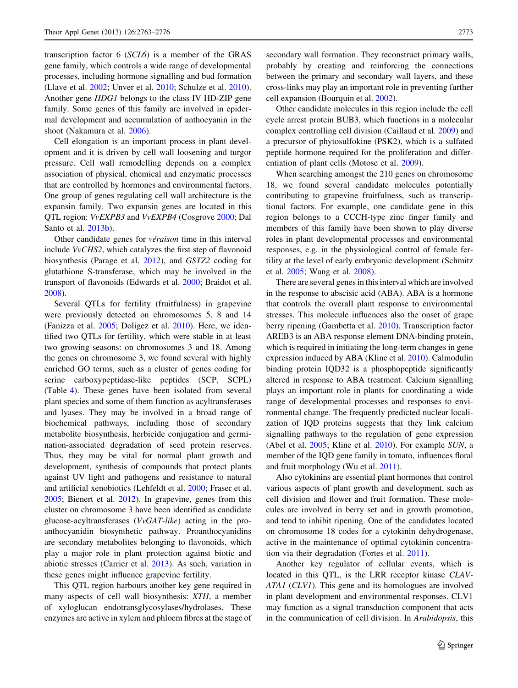transcription factor 6 (SCL6) is a member of the GRAS gene family, which controls a wide range of developmental processes, including hormone signalling and bud formation (Llave et al. [2002](#page-13-0); Unver et al. [2010;](#page-13-0) Schulze et al. [2010](#page-13-0)). Another gene HDG1 belongs to the class IV HD-ZIP gene family. Some genes of this family are involved in epidermal development and accumulation of anthocyanin in the shoot (Nakamura et al. [2006\)](#page-13-0).

Cell elongation is an important process in plant development and it is driven by cell wall loosening and turgor pressure. Cell wall remodelling depends on a complex association of physical, chemical and enzymatic processes that are controlled by hormones and environmental factors. One group of genes regulating cell wall architecture is the expansin family. Two expansin genes are located in this QTL region: VvEXPB3 and VvEXPB4 (Cosgrove [2000](#page-12-0); Dal Santo et al. [2013b\)](#page-12-0).

Other candidate genes for *véraison* time in this interval include VvCHS2, which catalyzes the first step of flavonoid biosynthesis (Parage et al. [2012\)](#page-13-0), and GSTZ2 coding for glutathione S-transferase, which may be involved in the transport of flavonoids (Edwards et al. [2000](#page-12-0); Braidot et al. [2008\)](#page-11-0).

Several QTLs for fertility (fruitfulness) in grapevine were previously detected on chromosomes 5, 8 and 14 (Fanizza et al. [2005](#page-12-0); Doligez et al. [2010\)](#page-12-0). Here, we identified two QTLs for fertility, which were stable in at least two growing seasons: on chromosomes 3 and 18. Among the genes on chromosome 3, we found several with highly enriched GO terms, such as a cluster of genes coding for serine carboxypeptidase-like peptides (SCP, SCPL) (Table [4](#page-8-0)). These genes have been isolated from several plant species and some of them function as acyltransferases and lyases. They may be involved in a broad range of biochemical pathways, including those of secondary metabolite biosynthesis, herbicide conjugation and germination-associated degradation of seed protein reserves. Thus, they may be vital for normal plant growth and development, synthesis of compounds that protect plants against UV light and pathogens and resistance to natural and artificial xenobiotics (Lehfeldt et al. [2000](#page-13-0); Fraser et al. [2005;](#page-12-0) Bienert et al. [2012](#page-11-0)). In grapevine, genes from this cluster on chromosome 3 have been identified as candidate glucose-acyltransferases (VvGAT-like) acting in the proanthocyanidin biosynthetic pathway. Proanthocyanidins are secondary metabolites belonging to flavonoids, which play a major role in plant protection against biotic and abiotic stresses (Carrier et al. [2013\)](#page-12-0). As such, variation in these genes might influence grapevine fertility.

This QTL region harbours another key gene required in many aspects of cell wall biosynthesis: XTH, a member of xyloglucan endotransglycosylases/hydrolases. These enzymes are active in xylem and phloem fibres at the stage of secondary wall formation. They reconstruct primary walls, probably by creating and reinforcing the connections between the primary and secondary wall layers, and these cross-links may play an important role in preventing further cell expansion (Bourquin et al. [2002\)](#page-11-0).

Other candidate molecules in this region include the cell cycle arrest protein BUB3, which functions in a molecular complex controlling cell division (Caillaud et al. [2009\)](#page-11-0) and a precursor of phytosulfokine (PSK2), which is a sulfated peptide hormone required for the proliferation and differentiation of plant cells (Motose et al. [2009\)](#page-13-0).

When searching amongst the 210 genes on chromosome 18, we found several candidate molecules potentially contributing to grapevine fruitfulness, such as transcriptional factors. For example, one candidate gene in this region belongs to a CCCH-type zinc finger family and members of this family have been shown to play diverse roles in plant developmental processes and environmental responses, e.g. in the physiological control of female fertility at the level of early embryonic development (Schmitz et al. [2005;](#page-13-0) Wang et al. [2008\)](#page-13-0).

There are several genes in this interval which are involved in the response to abscisic acid (ABA). ABA is a hormone that controls the overall plant response to environmental stresses. This molecule influences also the onset of grape berry ripening (Gambetta et al. [2010](#page-12-0)). Transcription factor AREB3 is an ABA response element DNA-binding protein, which is required in initiating the long-term changes in gene expression induced by ABA (Kline et al. [2010\)](#page-12-0). Calmodulin binding protein IQD32 is a phosphopeptide significantly altered in response to ABA treatment. Calcium signalling plays an important role in plants for coordinating a wide range of developmental processes and responses to environmental change. The frequently predicted nuclear localization of IQD proteins suggests that they link calcium signalling pathways to the regulation of gene expression (Abel et al. [2005;](#page-11-0) Kline et al. [2010](#page-12-0)). For example SUN, a member of the IQD gene family in tomato, influences floral and fruit morphology (Wu et al. [2011](#page-13-0)).

Also cytokinins are essential plant hormones that control various aspects of plant growth and development, such as cell division and flower and fruit formation. These molecules are involved in berry set and in growth promotion, and tend to inhibit ripening. One of the candidates located on chromosome 18 codes for a cytokinin dehydrogenase, active in the maintenance of optimal cytokinin concentration via their degradation (Fortes et al. [2011](#page-12-0)).

Another key regulator of cellular events, which is located in this QTL, is the LRR receptor kinase CLAV-ATA1 (CLV1). This gene and its homologues are involved in plant development and environmental responses. CLV1 may function as a signal transduction component that acts in the communication of cell division. In Arabidopsis, this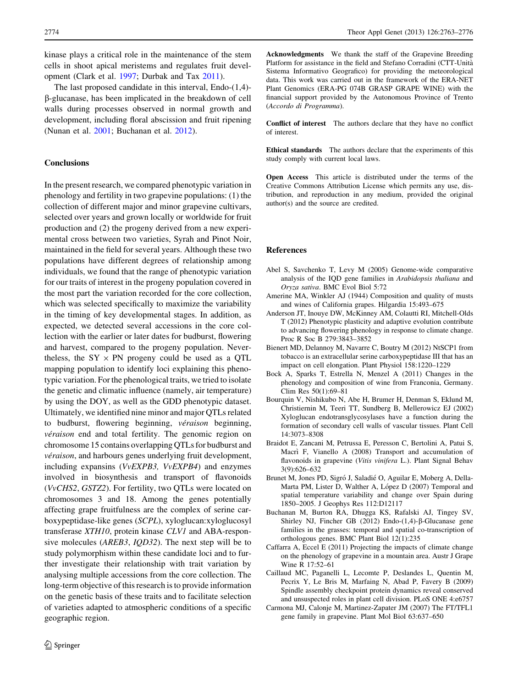<span id="page-11-0"></span>kinase plays a critical role in the maintenance of the stem cells in shoot apical meristems and regulates fruit development (Clark et al. [1997;](#page-12-0) Durbak and Tax [2011](#page-12-0)).

The last proposed candidate in this interval, Endo-(1,4) b-glucanase, has been implicated in the breakdown of cell walls during processes observed in normal growth and development, including floral abscission and fruit ripening (Nunan et al. [2001;](#page-13-0) Buchanan et al. 2012).

# Conclusions

In the present research, we compared phenotypic variation in phenology and fertility in two grapevine populations: (1) the collection of different major and minor grapevine cultivars, selected over years and grown locally or worldwide for fruit production and (2) the progeny derived from a new experimental cross between two varieties, Syrah and Pinot Noir, maintained in the field for several years. Although these two populations have different degrees of relationship among individuals, we found that the range of phenotypic variation for our traits of interest in the progeny population covered in the most part the variation recorded for the core collection, which was selected specifically to maximize the variability in the timing of key developmental stages. In addition, as expected, we detected several accessions in the core collection with the earlier or later dates for budburst, flowering and harvest, compared to the progeny population. Nevertheless, the  $SY \times PN$  progeny could be used as a QTL mapping population to identify loci explaining this phenotypic variation. For the phenological traits, we tried to isolate the genetic and climatic influence (namely, air temperature) by using the DOY, as well as the GDD phenotypic dataset. Ultimately, we identified nine minor and major QTLs related to budburst, flowering beginning, véraison beginning, véraison end and total fertility. The genomic region on chromosome 15 contains overlapping QTLs for budburst and véraison, and harbours genes underlying fruit development, including expansins (VvEXPB3, VvEXPB4) and enzymes involved in biosynthesis and transport of flavonoids (VvCHS2, GSTZ2). For fertility, two QTLs were located on chromosomes 3 and 18. Among the genes potentially affecting grape fruitfulness are the complex of serine carboxypeptidase-like genes (SCPL), xyloglucan:xyloglucosyl transferase XTH10, protein kinase CLV1 and ABA-responsive molecules (AREB3, IQD32). The next step will be to study polymorphism within these candidate loci and to further investigate their relationship with trait variation by analysing multiple accessions from the core collection. The long-term objective of this research is to provide information on the genetic basis of these traits and to facilitate selection of varieties adapted to atmospheric conditions of a specific geographic region.

Acknowledgments We thank the staff of the Grapevine Breeding Platform for assistance in the field and Stefano Corradini (CTT-Unita` Sistema Informativo Geografico) for providing the meteorological data. This work was carried out in the framework of the ERA-NET Plant Genomics (ERA-PG 074B GRASP GRAPE WINE) with the financial support provided by the Autonomous Province of Trento (Accordo di Programma).

Conflict of interest The authors declare that they have no conflict of interest.

Ethical standards The authors declare that the experiments of this study comply with current local laws.

Open Access This article is distributed under the terms of the Creative Commons Attribution License which permits any use, distribution, and reproduction in any medium, provided the original author(s) and the source are credited.

## References

- Abel S, Savchenko T, Levy M (2005) Genome-wide comparative analysis of the IQD gene families in Arabidopsis thaliana and Oryza sativa. BMC Evol Biol 5:72
- Amerine MA, Winkler AJ (1944) Composition and quality of musts and wines of California grapes. Hilgardia 15:493–675
- Anderson JT, Inouye DW, McKinney AM, Colautti RI, Mitchell-Olds T (2012) Phenotypic plasticity and adaptive evolution contribute to advancing flowering phenology in response to climate change. Proc R Soc B 279:3843–3852
- Bienert MD, Delannoy M, Navarre C, Boutry M (2012) NtSCP1 from tobacco is an extracellular serine carboxypeptidase III that has an impact on cell elongation. Plant Physiol 158:1220–1229
- Bock A, Sparks T, Estrella N, Menzel A (2011) Changes in the phenology and composition of wine from Franconia, Germany. Clim Res 50(1):69–81
- Bourquin V, Nishikubo N, Abe H, Brumer H, Denman S, Eklund M, Christiernin M, Teeri TT, Sundberg B, Mellerowicz EJ (2002) Xyloglucan endotransglycosylases have a function during the formation of secondary cell walls of vascular tissues. Plant Cell 14:3073–8308
- Braidot E, Zancani M, Petrussa E, Peresson C, Bertolini A, Patui S, Macrì F, Vianello A (2008) Transport and accumulation of flavonoids in grapevine (Vitis vinifera L.). Plant Signal Behav 3(9):626–632
- Brunet M, Jones PD, Sigró J, Saladié O, Aguilar E, Moberg A, Della-Marta PM, Lister D, Walther A, López D (2007) Temporal and spatial temperature variability and change over Spain during 1850–2005. J Geophys Res 112:D12117
- Buchanan M, Burton RA, Dhugga KS, Rafalski AJ, Tingey SV, Shirley NJ, Fincher GB (2012) Endo-(1,4)- $\beta$ -Glucanase gene families in the grasses: temporal and spatial co-transcription of orthologous genes. BMC Plant Biol 12(1):235
- Caffarra A, Eccel E (2011) Projecting the impacts of climate change on the phenology of grapevine in a mountain area. Austr J Grape Wine R 17:52–61
- Caillaud MC, Paganelli L, Lecomte P, Deslandes L, Quentin M, Pecrix Y, Le Bris M, Marfaing N, Abad P, Favery B (2009) Spindle assembly checkpoint protein dynamics reveal conserved and unsuspected roles in plant cell division. PLoS ONE 4:e6757
- Carmona MJ, Calonje M, Martinez-Zapater JM (2007) The FT/TFL1 gene family in grapevine. Plant Mol Biol 63:637–650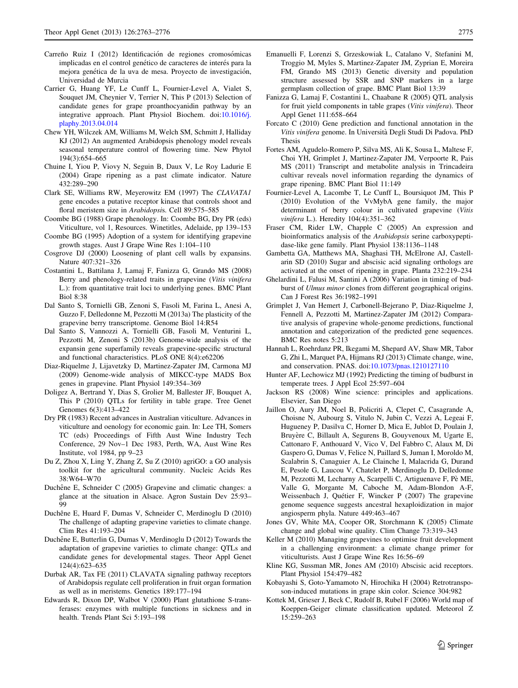- <span id="page-12-0"></span>Carreño Ruiz I (2012) Identificación de regiones cromosómicas implicadas en el control genético de caracteres de interés para la mejora genética de la uva de mesa. Proyecto de investigación, Universidad de Murcia
- Carrier G, Huang YF, Le Cunff L, Fournier-Level A, Vialet S, Souquet JM, Cheynier V, Terrier N, This P (2013) Selection of candidate genes for grape proanthocyanidin pathway by an integrative approach. Plant Physiol Biochem. doi:[10.1016/j.](http://dx.doi.org/10.1016/j.plaphy.2013.04.014) [plaphy.2013.04.014](http://dx.doi.org/10.1016/j.plaphy.2013.04.014)
- Chew YH, Wilczek AM, Williams M, Welch SM, Schmitt J, Halliday KJ (2012) An augmented Arabidopsis phenology model reveals seasonal temperature control of flowering time. New Phytol 194(3):654–665
- Chuine I, Yiou P, Viovy N, Seguin B, Daux V, Le Roy Ladurie E (2004) Grape ripening as a past climate indicator. Nature 432:289–290
- Clark SE, Williams RW, Meyerowitz EM (1997) The CLAVATA1 gene encodes a putative receptor kinase that controls shoot and floral meristem size in Arabidopsis. Cell 89:575–585
- Coombe BG (1988) Grape phenology. In: Coombe BG, Dry PR (eds) Viticulture, vol 1, Resources. Winetitles, Adelaide, pp 139–153
- Coombe BG (1995) Adoption of a system for identifying grapevine growth stages. Aust J Grape Wine Res 1:104–110
- Cosgrove DJ (2000) Loosening of plant cell walls by expansins. Nature 407:321–326
- Costantini L, Battilana J, Lamaj F, Fanizza G, Grando MS (2008) Berry and phenology-related traits in grapevine (Vitis vinifera L.): from quantitative trait loci to underlying genes. BMC Plant Biol 8:38
- Dal Santo S, Tornielli GB, Zenoni S, Fasoli M, Farina L, Anesi A, Guzzo F, Delledonne M, Pezzotti M (2013a) The plasticity of the grapevine berry transcriptome. Genome Biol 14:R54
- Dal Santo S, Vannozzi A, Tornielli GB, Fasoli M, Venturini L, Pezzotti M, Zenoni S (2013b) Genome-wide analysis of the expansin gene superfamily reveals grapevine-specific structural and functional characteristics. PLoS ONE 8(4):e62206
- Diaz-Riquelme J, Lijavetzky D, Martinez-Zapater JM, Carmona MJ (2009) Genome-wide analysis of MIKCC-type MADS Box genes in grapevine. Plant Physiol 149:354–369
- Doligez A, Bertrand Y, Dias S, Grolier M, Ballester JF, Bouquet A, This P (2010) QTLs for fertility in table grape. Tree Genet Genomes 6(3):413–422
- Dry PR (1983) Recent advances in Australian viticulture. Advances in viticulture and oenology for economic gain. In: Lee TH, Somers TC (eds) Proceedings of Fifth Aust Wine Industry Tech Conference, 29 Nov–1 Dec 1983, Perth, WA, Aust Wine Res Institute, vol 1984, pp 9–23
- Du Z, Zhou X, Ling Y, Zhang Z, Su Z (2010) agriGO: a GO analysis toolkit for the agricultural community. Nucleic Acids Res 38:W64–W70
- Duchêne E, Schneider C (2005) Grapevine and climatic changes: a glance at the situation in Alsace. Agron Sustain Dev 25:93– 99
- Duchêne E, Huard F, Dumas V, Schneider C, Merdinoglu D (2010) The challenge of adapting grapevine varieties to climate change. Clim Res 41:193–204
- Duchêne E, Butterlin G, Dumas V, Merdinoglu D (2012) Towards the adaptation of grapevine varieties to climate change: QTLs and candidate genes for developmental stages. Theor Appl Genet 124(4):623–635
- Durbak AR, Tax FE (2011) CLAVATA signaling pathway receptors of Arabidopsis regulate cell proliferation in fruit organ formation as well as in meristems. Genetics 189:177–194
- Edwards R, Dixon DP, Walbot V (2000) Plant glutathione S-transferases: enzymes with multiple functions in sickness and in health. Trends Plant Sci 5:193–198
- Emanuelli F, Lorenzi S, Grzeskowiak L, Catalano V, Stefanini M, Troggio M, Myles S, Martinez-Zapater JM, Zyprian E, Moreira FM, Grando MS (2013) Genetic diversity and population structure assessed by SSR and SNP markers in a large germplasm collection of grape. BMC Plant Biol 13:39
- Fanizza G, Lamaj F, Costantini L, Chaabane R (2005) QTL analysis for fruit yield components in table grapes (Vitis vinifera). Theor Appl Genet 111:658–664
- Forcato C (2010) Gene prediction and functional annotation in the Vitis vinifera genome. In Universita` Degli Studi Di Padova. PhD Thesis
- Fortes AM, Agudelo-Romero P, Silva MS, Ali K, Sousa L, Maltese F, Choi YH, Grimplet J, Martinez-Zapater JM, Verpoorte R, Pais MS (2011) Transcript and metabolite analysis in Trincadeira cultivar reveals novel information regarding the dynamics of grape ripening. BMC Plant Biol 11:149
- Fournier-Level A, Lacombe T, Le Cunff L, Boursiquot JM, This P (2010) Evolution of the VvMybA gene family, the major determinant of berry colour in cultivated grapevine (Vitis vinifera L.). Heredity 104(4):351–362
- Fraser CM, Rider LW, Chapple C (2005) An expression and bioinformatics analysis of the Arabidopsis serine carboxypeptidase-like gene family. Plant Physiol 138:1136–1148
- Gambetta GA, Matthews MA, Shaghasi TH, McElrone AJ, Castellarin SD (2010) Sugar and abscisic acid signaling orthologs are activated at the onset of ripening in grape. Planta 232:219–234
- Ghelardini L, Falusi M, Santini A (2006) Variation in timing of budburst of Ulmus minor clones from different geographical origins. Can J Forest Res 36:1982–1991
- Grimplet J, Van Hemert J, Carbonell-Bejerano P, Diaz-Riquelme J, Fennell A, Pezzotti M, Martinez-Zapater JM (2012) Comparative analysis of grapevine whole-genome predictions, functional annotation and categorization of the predicted gene sequences. BMC Res notes 5:213
- Hannah L, Roehrdanz PR, Ikegami M, Shepard AV, Shaw MR, Tabor G, Zhi L, Marquet PA, Hijmans RJ (2013) Climate change, wine, and conservation. PNAS. doi[:10.1073/pnas.1210127110](http://dx.doi.org/10.1073/pnas.1210127110)
- Hunter AF, Lechowicz MJ (1992) Predicting the timing of budburst in temperate trees. J Appl Ecol 25:597–604
- Jackson RS (2008) Wine science: principles and applications. Elsevier, San Diego
- Jaillon O, Aury JM, Noel B, Policriti A, Clepet C, Casagrande A, Choisne N, Aubourg S, Vitulo N, Jubin C, Vezzi A, Legeai F, Hugueney P, Dasilva C, Horner D, Mica E, Jublot D, Poulain J, Bruyère C, Billault A, Segurens B, Gouyvenoux M, Ugarte E, Cattonaro F, Anthouard V, Vico V, Del Fabbro C, Alaux M, Di Gaspero G, Dumas V, Felice N, Paillard S, Juman I, Moroldo M, Scalabrin S, Canaguier A, Le Clainche I, Malacrida G, Durand E, Pesole G, Laucou V, Chatelet P, Merdinoglu D, Delledonne M, Pezzotti M, Lecharny A, Scarpelli C, Artiguenave F, Pè ME, Valle G, Morgante M, Caboche M, Adam-Blondon A-F, Weissenbach J, Quétier F, Wincker P (2007) The grapevine genome sequence suggests ancestral hexaploidization in major angiosperm phyla. Nature 449:463–467
- Jones GV, White MA, Cooper OR, Storchmann K (2005) Climate change and global wine quality. Clim Change 73:319–343
- Keller M (2010) Managing grapevines to optimise fruit development in a challenging environment: a climate change primer for viticulturists. Aust J Grape Wine Res 16:56–69
- Kline KG, Sussman MR, Jones AM (2010) Abscisic acid receptors. Plant Physiol 154:479–482
- Kobayashi S, Goto-Yamamoto N, Hirochika H (2004) Retrotransposon-induced mutations in grape skin color. Science 304:982
- Kottek M, Grieser J, Beck C, Rudolf B, Rubel F (2006) World map of Koeppen-Geiger climate classification updated. Meteorol Z 15:259–263